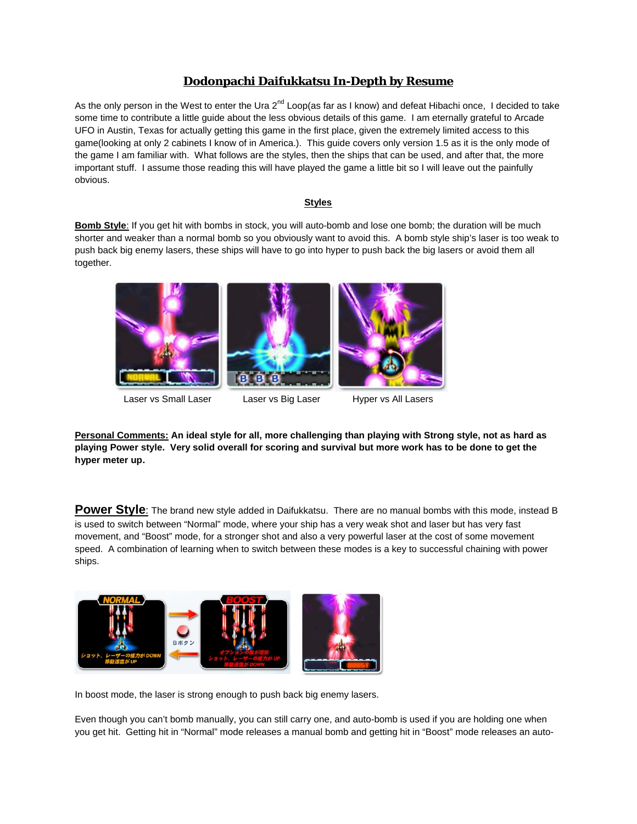# **Dodonpachi Daifukkatsu In-Depth by Resume**

As the only person in the West to enter the Ura  $2^{nd}$  Loop(as far as I know) and defeat Hibachi once, I decided to take some time to contribute a little guide about the less obvious details of this game. I am eternally grateful to Arcade UFO in Austin, Texas for actually getting this game in the first place, given the extremely limited access to this game(looking at only 2 cabinets I know of in America.). This guide covers only version 1.5 as it is the only mode of the game I am familiar with. What follows are the styles, then the ships that can be used, and after that, the more important stuff. I assume those reading this will have played the game a little bit so I will leave out the painfully obvious.

## **Styles**

**Bomb Style**: If you get hit with bombs in stock, you will auto-bomb and lose one bomb; the duration will be much shorter and weaker than a normal bomb so you obviously want to avoid this. A bomb style ship's laser is too weak to push back big enemy lasers, these ships will have to go into hyper to push back the big lasers or avoid them all together.



Laser vs Small Laser 
and Laser Caser vs Big Laser

Laser vs All Lasers

Laser vs All Laser

**Personal Comments: An ideal style for all, more challenging than playing with Strong style, not as hard as playing Power style. Very solid overall for scoring and survival but more work has to be done to get the hyper meter up.**

**Power Style**: The brand new style added in Daifukkatsu. There are no manual bombs with this mode, instead B is used to switch between "Normal" mode, where your ship has a very weak shot and laser but has very fast movement, and "Boost" mode, for a stronger shot and also a very powerful laser at the cost of some movement speed. A combination of learning when to switch between these modes is a key to successful chaining with power ships.



In boost mode, the laser is strong enough to push back big enemy lasers.

Even though you can't bomb manually, you can still carry one, and auto-bomb is used if you are holding one when you get hit. Getting hit in "Normal" mode releases a manual bomb and getting hit in "Boost" mode releases an auto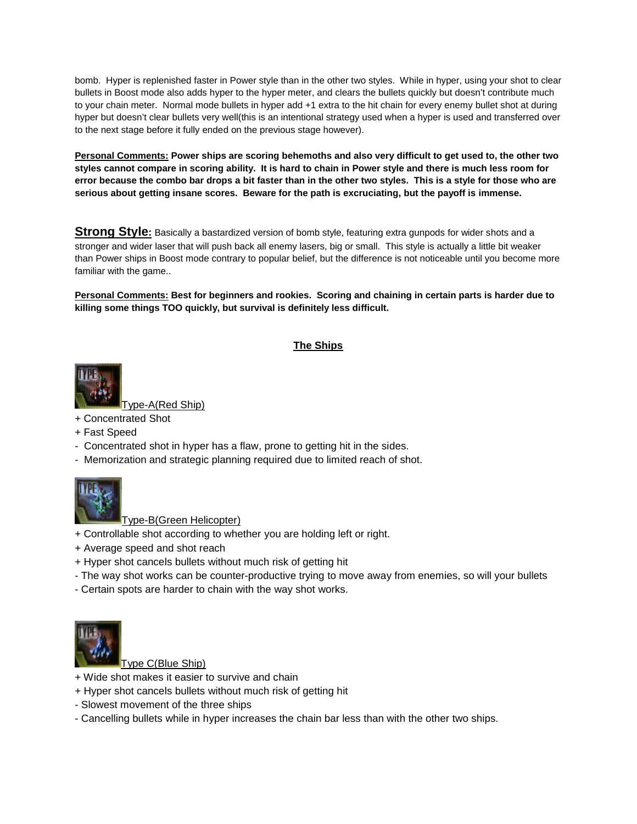bomb. Hyper is replenished faster in Power style than in the other two styles. While in hyper, using your shot to clear bullets in Boost mode also adds hyper to the hyper meter, and clears the bullets quickly but doesn't contribute much to your chain meter. Normal mode bullets in hyper add +1 extra to the hit chain for every enemy bullet shot at during hyper but doesn't clear bullets very well(this is an intentional strategy used when a hyper is used and transferred over to the next stage before it fully ended on the previous stage however).

**Personal Comments: Power ships are scoring behemoths and also very difficult to get used to, the other two styles cannot compare in scoring ability. It is hard to chain in Power style and there is much less room for error because the combo bar drops a bit faster than in the other two styles. This is a style for those who are serious about getting insane scores. Beware for the path is excruciating, but the payoff is immense.**

**Strong Style:** Basically a bastardized version of bomb style, featuring extra gunpods for wider shots and a stronger and wider laser that will push back all enemy lasers, big or small. This style is actually a little bit weaker than Power ships in Boost mode contrary to popular belief, but the difference is not noticeable until you become more familiar with the game..

**Personal Comments: Best for beginners and rookies. Scoring and chaining in certain parts is harder due to killing some things TOO quickly, but survival is definitely less difficult.**

# **The Ships**



vpe-A(Red Ship)

- + Concentrated Shot
- + Fast Speed
- Concentrated shot in hyper has a flaw, prone to getting hit in the sides.
- Memorization and strategic planning required due to limited reach of shot.



Type-B(Green Helicopter)

- + Controllable shot according to whether you are holding left or right.
- + Average speed and shot reach
- + Hyper shot cancels bullets without much risk of getting hit
- The way shot works can be counter-productive trying to move away from enemies, so will your bullets
- Certain spots are harder to chain with the way shot works.



Type C(Blue Ship)

- + Wide shot makes it easier to survive and chain
- + Hyper shot cancels bullets without much risk of getting hit
- Slowest movement of the three ships
- Cancelling bullets while in hyper increases the chain bar less than with the other two ships.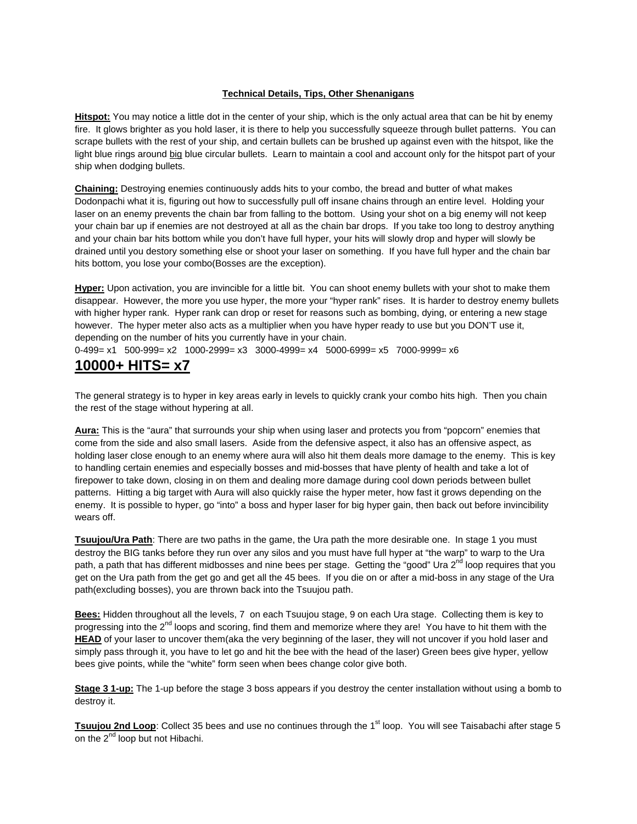## **Technical Details, Tips, Other Shenanigans**

**Hitspot:** You may notice a little dot in the center of your ship, which is the only actual area that can be hit by enemy fire. It glows brighter as you hold laser, it is there to help you successfully squeeze through bullet patterns. You can scrape bullets with the rest of your ship, and certain bullets can be brushed up against even with the hitspot, like the light blue rings around big blue circular bullets. Learn to maintain a cool and account only for the hitspot part of your ship when dodging bullets.

**Chaining:** Destroying enemies continuously adds hits to your combo, the bread and butter of what makes Dodonpachi what it is, figuring out how to successfully pull off insane chains through an entire level. Holding your laser on an enemy prevents the chain bar from falling to the bottom. Using your shot on a big enemy will not keep your chain bar up if enemies are not destroyed at all as the chain bar drops. If you take too long to destroy anything and your chain bar hits bottom while you don't have full hyper, your hits will slowly drop and hyper will slowly be drained until you destory something else or shoot your laser on something. If you have full hyper and the chain bar hits bottom, you lose your combo(Bosses are the exception).

**Hyper:** Upon activation, you are invincible for a little bit. You can shoot enemy bullets with your shot to make them disappear. However, the more you use hyper, the more your "hyper rank" rises. It is harder to destroy enemy bullets with higher hyper rank. Hyper rank can drop or reset for reasons such as bombing, dying, or entering a new stage however. The hyper meter also acts as a multiplier when you have hyper ready to use but you DON'T use it, depending on the number of hits you currently have in your chain.

0-499= x1 500-999= x2 1000-2999= x3 3000-4999= x4 5000-6999= x5 7000-9999= x6

# **10000+ HITS= x7**

The general strategy is to hyper in key areas early in levels to quickly crank your combo hits high. Then you chain the rest of the stage without hypering at all.

**Aura:** This is the "aura" that surrounds your ship when using laser and protects you from "popcorn" enemies that come from the side and also small lasers. Aside from the defensive aspect, it also has an offensive aspect, as holding laser close enough to an enemy where aura will also hit them deals more damage to the enemy. This is key to handling certain enemies and especially bosses and mid-bosses that have plenty of health and take a lot of firepower to take down, closing in on them and dealing more damage during cool down periods between bullet patterns. Hitting a big target with Aura will also quickly raise the hyper meter, how fast it grows depending on the enemy. It is possible to hyper, go "into" a boss and hyper laser for big hyper gain, then back out before invincibility wears off.

**Tsuujou/Ura Path**: There are two paths in the game, the Ura path the more desirable one. In stage 1 you must destroy the BIG tanks before they run over any silos and you must have full hyper at "the warp" to warp to the Ura path, a path that has different midbosses and nine bees per stage. Getting the "good" Ura 2<sup>nd</sup> loop requires that you get on the Ura path from the get go and get all the 45 bees. If you die on or after a mid-boss in any stage of the Ura path(excluding bosses), you are thrown back into the Tsuujou path.

**Bees:** Hidden throughout all the levels, 7 on each Tsuujou stage, 9 on each Ura stage. Collecting them is key to progressing into the  $2^{nd}$  loops and scoring, find them and memorize where they are! You have to hit them with the **HEAD** of your laser to uncover them(aka the very beginning of the laser, they will not uncover if you hold laser and simply pass through it, you have to let go and hit the bee with the head of the laser) Green bees give hyper, yellow bees give points, while the "white" form seen when bees change color give both.

**Stage 3 1-up:** The 1-up before the stage 3 boss appears if you destroy the center installation without using a bomb to destroy it.

**Tsuujou 2nd Loop**: Collect 35 bees and use no continues through the 1<sup>st</sup> loop. You will see Taisabachi after stage 5 on the 2<sup>nd</sup> loop but not Hibachi.